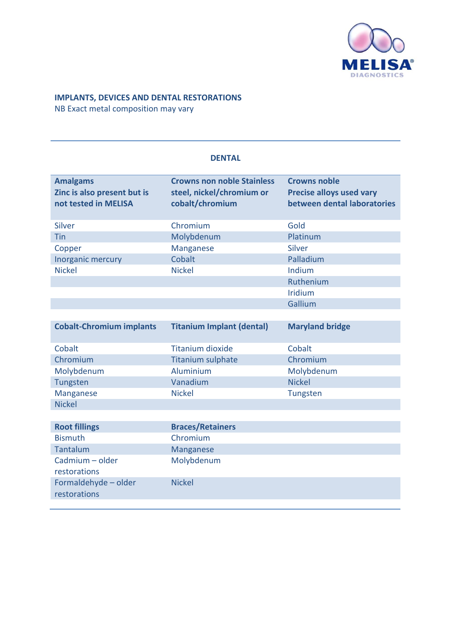

## **IMPLANTS, DEVICES AND DENTAL RESTORATIONS**

NB Exact metal composition may vary

| <b>Amalgams</b><br><b>Crowns non noble Stainless</b><br><b>Crowns noble</b><br><b>Precise alloys used vary</b><br>Zinc is also present but is<br>steel, nickel/chromium or<br>cobalt/chromium<br>between dental laboratories<br>not tested in MELISA<br>Gold<br>Chromium<br><b>Silver</b><br>Molybdenum<br>Platinum<br><b>Tin</b><br>Silver<br>Copper<br><b>Manganese</b><br>Cobalt<br>Palladium<br>Inorganic mercury<br><b>Nickel</b><br><b>Nickel</b><br>Indium<br>Ruthenium<br><b>Iridium</b><br>Gallium<br><b>Maryland bridge</b><br><b>Cobalt-Chromium implants</b><br><b>Titanium Implant (dental)</b><br>Cobalt<br>Cobalt<br><b>Titanium dioxide</b><br>Chromium<br>Chromium<br><b>Titanium sulphate</b><br>Aluminium<br>Molybdenum<br>Molybdenum<br><b>Nickel</b><br>Vanadium<br>Tungsten<br><b>Nickel</b><br>Manganese<br>Tungsten |  |
|---------------------------------------------------------------------------------------------------------------------------------------------------------------------------------------------------------------------------------------------------------------------------------------------------------------------------------------------------------------------------------------------------------------------------------------------------------------------------------------------------------------------------------------------------------------------------------------------------------------------------------------------------------------------------------------------------------------------------------------------------------------------------------------------------------------------------------------------|--|
|                                                                                                                                                                                                                                                                                                                                                                                                                                                                                                                                                                                                                                                                                                                                                                                                                                             |  |
|                                                                                                                                                                                                                                                                                                                                                                                                                                                                                                                                                                                                                                                                                                                                                                                                                                             |  |
|                                                                                                                                                                                                                                                                                                                                                                                                                                                                                                                                                                                                                                                                                                                                                                                                                                             |  |
|                                                                                                                                                                                                                                                                                                                                                                                                                                                                                                                                                                                                                                                                                                                                                                                                                                             |  |
|                                                                                                                                                                                                                                                                                                                                                                                                                                                                                                                                                                                                                                                                                                                                                                                                                                             |  |
|                                                                                                                                                                                                                                                                                                                                                                                                                                                                                                                                                                                                                                                                                                                                                                                                                                             |  |
|                                                                                                                                                                                                                                                                                                                                                                                                                                                                                                                                                                                                                                                                                                                                                                                                                                             |  |
|                                                                                                                                                                                                                                                                                                                                                                                                                                                                                                                                                                                                                                                                                                                                                                                                                                             |  |
|                                                                                                                                                                                                                                                                                                                                                                                                                                                                                                                                                                                                                                                                                                                                                                                                                                             |  |
|                                                                                                                                                                                                                                                                                                                                                                                                                                                                                                                                                                                                                                                                                                                                                                                                                                             |  |
|                                                                                                                                                                                                                                                                                                                                                                                                                                                                                                                                                                                                                                                                                                                                                                                                                                             |  |
|                                                                                                                                                                                                                                                                                                                                                                                                                                                                                                                                                                                                                                                                                                                                                                                                                                             |  |
|                                                                                                                                                                                                                                                                                                                                                                                                                                                                                                                                                                                                                                                                                                                                                                                                                                             |  |
|                                                                                                                                                                                                                                                                                                                                                                                                                                                                                                                                                                                                                                                                                                                                                                                                                                             |  |
|                                                                                                                                                                                                                                                                                                                                                                                                                                                                                                                                                                                                                                                                                                                                                                                                                                             |  |
|                                                                                                                                                                                                                                                                                                                                                                                                                                                                                                                                                                                                                                                                                                                                                                                                                                             |  |
| <b>Nickel</b>                                                                                                                                                                                                                                                                                                                                                                                                                                                                                                                                                                                                                                                                                                                                                                                                                               |  |
|                                                                                                                                                                                                                                                                                                                                                                                                                                                                                                                                                                                                                                                                                                                                                                                                                                             |  |
| <b>Root fillings</b><br><b>Braces/Retainers</b>                                                                                                                                                                                                                                                                                                                                                                                                                                                                                                                                                                                                                                                                                                                                                                                             |  |
| <b>Bismuth</b><br>Chromium                                                                                                                                                                                                                                                                                                                                                                                                                                                                                                                                                                                                                                                                                                                                                                                                                  |  |
| Tantalum<br>Manganese                                                                                                                                                                                                                                                                                                                                                                                                                                                                                                                                                                                                                                                                                                                                                                                                                       |  |
| Cadmium - older<br>Molybdenum                                                                                                                                                                                                                                                                                                                                                                                                                                                                                                                                                                                                                                                                                                                                                                                                               |  |
| restorations                                                                                                                                                                                                                                                                                                                                                                                                                                                                                                                                                                                                                                                                                                                                                                                                                                |  |
| Formaldehyde - older<br><b>Nickel</b>                                                                                                                                                                                                                                                                                                                                                                                                                                                                                                                                                                                                                                                                                                                                                                                                       |  |
| restorations                                                                                                                                                                                                                                                                                                                                                                                                                                                                                                                                                                                                                                                                                                                                                                                                                                |  |